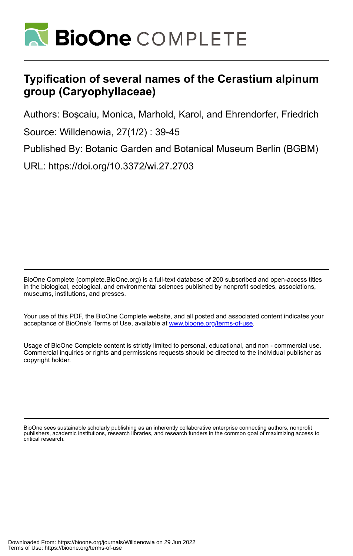

# **Typification of several names of the Cerastium alpinum group (Caryophyllaceae)**

Authors: Boşcaiu, Monica, Marhold, Karol, and Ehrendorfer, Friedrich

Source: Willdenowia, 27(1/2) : 39-45

Published By: Botanic Garden and Botanical Museum Berlin (BGBM)

URL: https://doi.org/10.3372/wi.27.2703

BioOne Complete (complete.BioOne.org) is a full-text database of 200 subscribed and open-access titles in the biological, ecological, and environmental sciences published by nonprofit societies, associations, museums, institutions, and presses.

Your use of this PDF, the BioOne Complete website, and all posted and associated content indicates your acceptance of BioOne's Terms of Use, available at www.bioone.org/terms-of-use.

Usage of BioOne Complete content is strictly limited to personal, educational, and non - commercial use. Commercial inquiries or rights and permissions requests should be directed to the individual publisher as copyright holder.

BioOne sees sustainable scholarly publishing as an inherently collaborative enterprise connecting authors, nonprofit publishers, academic institutions, research libraries, and research funders in the common goal of maximizing access to critical research.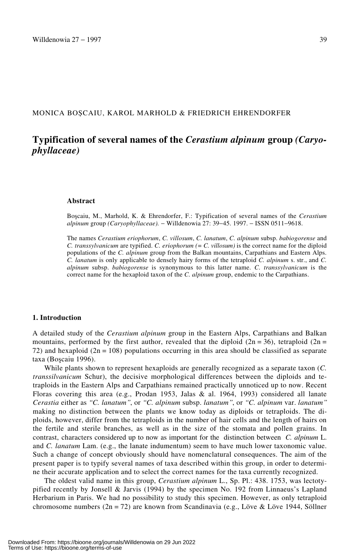## MONICA BOȘCAIU, KAROL MARHOLD & FRIEDRICH EHRENDORFER

# **Typification of several names of the** *Cerastium alpinum* **group** *(Caryophyllaceae)*

#### **Abstract**

Boscaiu, M., Marhold, K. & Ehrendorfer, F.: Typification of several names of the *Cerastium alpinum* group *(Caryophyllaceae).* − Willdenowia 27: 39−45. 1997. − ISSN 0511−9618.

The names *Cerastium eriophorum*, *C. villosum*, *C. lanatum*, *C. alpinum* subsp. *babiogorense* and *C. transsylvanicum* are typified. *C. eriophorum (= C. villosum)* is the correct name for the diploid populations of the *C. alpinum* group from the Balkan mountains, Carpathians and Eastern Alps. *C. lanatum* is only applicable to densely hairy forms of the tetraploid *C. alpinum* s. str., and *C. alpinum* subsp. *babiogorense* is synonymous to this latter name. *C. transsylvanicum* is the correct name for the hexaploid taxon of the *C. alpinum* group, endemic to the Carpathians.

#### **1. Introduction**

A detailed study of the *Cerastium alpinum* group in the Eastern Alps, Carpathians and Balkan mountains, performed by the first author, revealed that the diploid ( $2n = 36$ ), tetraploid ( $2n =$ 72) and hexaploid ( $2n = 108$ ) populations occurring in this area should be classified as separate taxa (Boscaiu 1996).

While plants shown to represent hexaploids are generally recognized as a separate taxon (*C. transsilvanicum* Schur), the decisive morphological differences between the diploids and tetraploids in the Eastern Alps and Carpathians remained practically unnoticed up to now. Recent Floras covering this area (e.g., Prodan 1953, Jalas & al. 1964, 1993) considered all lanate *Cerastia* either as *†C. lanatum‡*, or *†C. alpinum* subsp. *lanatum‡*, or *†C. alpinum* var. *lanatum‡* making no distinction between the plants we know today as diploids or tetraploids. The diploids, however, differ from the tetraploids in the number of hair cells and the length of hairs on the fertile and sterile branches, as well as in the size of the stomata and pollen grains. In contrast, characters considered up to now as important for the distinction between *C. alpinum* L. and *C. lanatum* Lam. (e.g., the lanate indumentum) seem to have much lower taxonomic value. Such a change of concept obviously should have nomenclatural consequences. The aim of the present paper is to typify several names of taxa described within this group, in order to determine their accurate application and to select the correct names for the taxa currently recognized.

The oldest valid name in this group, *Cerastium alpinum* L., Sp. Pl.: 438. 1753, was lectotypified recently by Jonsell & Jarvis (1994) by the specimen No. 192 from Linnaeus's Lapland Herbarium in Paris. We had no possibility to study this specimen. However, as only tetraploid chromosome numbers  $(2n = 72)$  are known from Scandinavia (e.g., Löve & Löve 1944, Söllner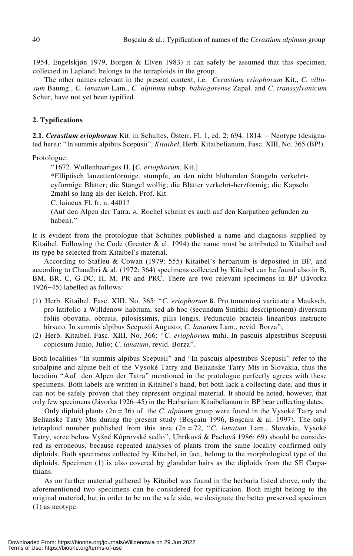1954, Engelskjøn 1979, Borgen & Elven 1983) it can safely be assumed that this specimen, collected in Lapland, belongs to the tetraploids in the group.

The other names relevant in the present context, i.e. *Cerastium eriophorum* Kit., *C. villosum* Baumg., *C. lanatum* Lam., *C. alpinum* subsp. *babiogorense* Zapał. and *C. transsylvanicum* Schur, have not yet been typified.

# **2. Typifications**

**2.1.** *Cerastium eriophorum* Kit. in Schultes, Österr. Fl. 1, ed. 2: 694. 1814. − Neotype (designated here): "In summis alpibus Scepusii", *Kitaibel*, Herb. Kitaibelianum, Fasc. XIII, No. 365 (BP!).

Protologue:

†1672. Wollenhaariges H. [*C. eriophorum*, Kit.]

\*Elliptisch lanzettenförmige, stumpfe, an den nicht blühenden Stängeln verkehrteyförmige Blätter; die Stängel wollig; die Blätter verkehrt-herzförmig; die Kapseln 2mahl so lang als der Kelch. Prof. Kit.

C. laineux Fl. fr. n. 4401?

(Auf den Alpen der Tatra. A. Rochel scheint es auch auf den Karpathen gefunden zu haben)."

It is evident from the protologue that Schultes published a name and diagnosis supplied by Kitaibel. Following the Code (Greuter  $\&$  al. 1994) the name must be attributed to Kitaibel and its type be selected from Kitaibel's material.

According to Stafleu & Cowan (1979: 555) Kitaibel's herbarium is deposited in BP, and according to Chaudhri & al. (1972: 364) specimens collected by Kitaibel can be found also in B, BM, BR, C, G-DC, H, M, PR and PRC. There are two relevant specimens in BP (Jávorka 1926−45) labelled as follows:

- (1) Herb. Kitaibel. Fasc. XIII. No. 365: †*C. eriophorum* ß. Pro tomentosi varietate a Mauksch, pro latifolio a Willdenow habitum, sed ab hoc (secundum Smithii descriptionem) diversum foliis obovatis, obtusis, pilosissimis, pilis longis. Pedunculo bracteis linearibus instructo hirsuto. In summis alpibus Scepusii Augusto; *C. lanatum* Lam., revid. Borza";
- (2) Herb. Kitaibel. Fasc. XIII. No. 366: †*C. eriophorum* mihi. In pascuis alpestribus Scepusii copiosum Junio, Julio; C. lanatum, revid. Borza".

Both localities "In summis alpibus Scepusii" and "In pascuis alpestribus Scepusii" refer to the subalpine and alpine belt of the Vysoké Tatry and Belianske Tatry Mts in Slovakia, thus the location "Auf den Alpen der Tatra" mentioned in the protologue perfectly agrees with these specimens. Both labels are written in Kitaibel's hand, but both lack a collecting date, and thus it can not be safely proven that they represent original material. It should be noted, however, that only few specimens (Jávorka 1926−45) in the Herbarium Kitaibelianum in BP bear collecting dates.

Only diploid plants (2n = 36) of the *C. alpinum* group were found in the Vysoké Tatry and Belianske Tatry Mts during the present study (Boscaiu 1996, Boscaiu & al. 1997). The only tetraploid number published from this area (2n = 72, †*C. lanatum* Lam., Slovakia, Vysoké Tatry, scree below Vyšné Kôprovské sedlo", Uhríková & Paclová 1986: 69) should be considered as erroneous, because repeated analyses of plants from the same locality confirmed only diploids. Both specimens collected by Kitaibel, in fact, belong to the morphological type of the diploids. Specimen (1) is also covered by glandular hairs as the diploids from the SE Carpathians.

As no further material gathered by Kitaibel was found in the herbaria listed above, only the aforementioned two specimens can be considered for typification. Both might belong to the original material, but in order to be on the safe side, we designate the better preserved specimen (1) as neotype.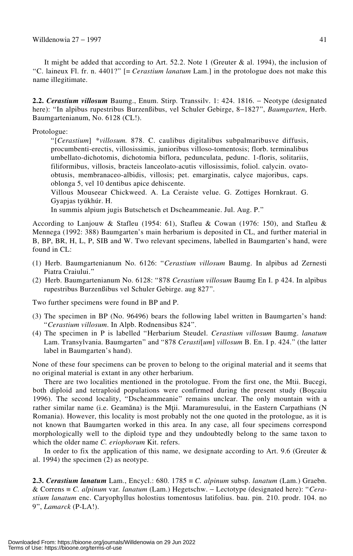It might be added that according to Art. 52.2. Note 1 (Greuter & al. 1994), the inclusion of †C. laineux Fl. fr. n. 4401?‡ [= *Cerastium lanatum* Lam.] in the protologue does not make this name illegitimate.

**2.2.** *Cerastium villosum* Baumg., Enum. Stirp. Transsilv. 1: 424. 1816. − Neotype (designated here): †In alpibus rupestribus Burzenßibus, vel Schuler Gebirge, 8−1827‡, *Baumgarten*, Herb. Baumgartenianum, No. 6128 (CL!).

Protologue:

†[*Cerastium*] \**villosum.* 878. C. caulibus digitalibus subpalmaribusve diffusis, procumbenti-erectis, villosissimis, junioribus villoso-tomentosis; florb. terminalibus umbellato-dichotomis, dichotomia biflora, pedunculata, pedunc. 1-floris, solitariis, filiformibus, villosis, bracteis lanceolato-acutis villosissimis, foliol. calycin. ovatoobtusis, membranaceo-albidis, villosis; pet. emarginatis, calyce majoribus, caps. oblonga 5, vel 10 dentibus apice dehiscente.

Villous Mouseear Chickweed. A. La Ceraiste velue. G. Zottiges Hornkraut. G. Gyapjas tyúkhúr. H.

In summis alpium jugis Butschetsch et Dscheammeanie. Jul. Aug. P."

According to Lanjouw & Stafleu (1954: 61), Stafleu & Cowan (1976: 150), and Stafleu & Mennega (1992: 388) Baumgarten's main herbarium is deposited in CL, and further material in B, BP, BR, H, L, P, SIB and W. Two relevant specimens, labelled in Baumgarten's hand, were found in CL:

- (1) Herb. Baumgartenianum No. 6126: †*Cerastium villosum* Baumg. In alpibus ad Zernesti Piatra Craiului."
- (2) Herb. Baumgartenianum No. 6128: †878 *Cerastium villosum* Baumg En I. p 424. In alpibus rupestribus Burzenßibus vel Schuler Gebirge. aug 827‡.

Two further specimens were found in BP and P.

- (3) The specimen in BP (No. 96496) bears the following label written in Baumgarten's hand: †*Cerastium villosum*. In Alpb. Rodnensibus 824‡.
- (4) The specimen in P is labelled †Herbarium Steudel. *Cerastium villosum* Baumg. *lanatum* Lam. Transylvania. Baumgarten" and "878 *Cerasti*[*um*] *villosum* B. En. I p. 424." (the latter label in Baumgarten's hand).

None of these four specimens can be proven to belong to the original material and it seems that no original material is extant in any other herbarium.

There are two localities mentioned in the protologue. From the first one, the Mtii. Bucegi, both diploid and tetraploid populations were confirmed during the present study (Boscaiu 1996). The second locality, "Dscheammeanie" remains unclear. The only mountain with a rather similar name (i.e. Geamăna) is the Mții. Maramuresului, in the Eastern Carpathians (N Romania). However, this locality is most probably not the one quoted in the protologue, as it is not known that Baumgarten worked in this area. In any case, all four specimens correspond morphologically well to the diploid type and they undoubtedly belong to the same taxon to which the older name *C. eriophorum* Kit. refers.

In order to fix the application of this name, we designate according to Art. 9.6 (Greuter  $\&$ al. 1994) the specimen (2) as neotype.

**2.3.** *Cerastium lanatum* Lam., Encycl.: 680. 1785 ≡ *C. alpinum* subsp. *lanatum* (Lam.) Graebn. & Correns ≡ *C. alpinum* var*. lanatum* (Lam.) Hegetschw. − Lectotype (designated here): †*Cerastium lanatum* enc. Caryophyllus holostius tomentosus latifolius. bau. pin. 210. prodr. 104. no 9‡, *Lamarck* (P-LA!).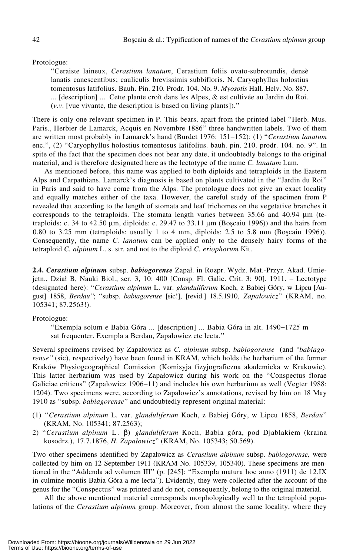#### Protologue:

†Ceraiste laineux, *Cerastium lanatum*, Cerastium foliis ovato-subrotundis, densè lanatis canescentibus; cauliculis brevissimis subbifloris. N. Caryophyllus holostius tomentosus latifolius. Bauh. Pin. 210. Prodr. 104. No. 9. *Myosotis* Hall. Helv. No. 887. ... [description] ... Cette plante croît dans les Alpes, & est cultivée au Jardin du Roi.  $(v, v)$ . [vue vivante, the description is based on living plants]).<sup>37</sup>

There is only one relevant specimen in P. This bears, apart from the printed label "Herb. Mus. Paris., Herbier de Lamarck, Acquis en Novembre 1886" three handwritten labels. Two of them are written most probably in Lamarck's hand (Burdet 1976: 151−152): (1) †*Cerastium lanatum* enc.", (2) "Caryophyllus holostius tomentosus latifolius. bauh. pin. 210. prodr. 104. no. 9". In spite of the fact that the specimen does not bear any date, it undoubtedly belongs to the original material, and is therefore designated here as the lectotype of the name *C. lanatum* Lam.

As mentioned before, this name was applied to both diploids and tetraploids in the Eastern Alps and Carpathians. Lamarck's diagnosis is based on plants cultivated in the "Jardin du Roi" in Paris and said to have come from the Alps. The protologue does not give an exact locality and equally matches either of the taxa. However, the careful study of the specimen from P revealed that according to the length of stomata and leaf trichomes on the vegetative branches it corresponds to the tetraploids. The stomata length varies between 35.66 and 40.94 μm (tetraploids: c. 34 to 42.50  $\mu$ m, diploids: c. 29.47 to 33.11  $\mu$ m (Boscaiu 1996)) and the hairs from 0.80 to 3.25 mm (tetraploids: usually 1 to 4 mm, diploids:  $2.5$  to 5.8 mm (Boscaiu 1996)). Consequently, the name *C. lanatum* can be applied only to the densely hairy forms of the tetraploid *C. alpinum* L. s. str. and not to the diploid *C. eriophorum* Kit.

2.4. *Cerastium alpinum* subsp. *babiogorense* Zapał. in Rozpr. Wydz. Mat.-Przyr. Akad. Umiejetn., Dział B, Nauki Biol., ser. 3, 10: 400 [Consp. Fl. Galic. Crit. 3: 90]. 1911. – Lectotype (designated here): †*Cerastium alpinum* L. var. *glanduliferum* Koch, z Babiej Góry, w Lipcu [August] 1858, *Berdau*<sup>2</sup>; "subsp. *babiagorense* [sic!], [revid.] 18.5.1910, *Zapałowicz*" (KRAM, no. 105341; 87.2563!).

#### Protologue:

†Exempla solum e Babia Góra ... [description] ... Babia Góra in alt. 1490−1725 m sat frequenter. Exempla a Berdau, Zapałowicz etc lecta."

Several specimens revised by Zapałowicz as *C. alpinum* subsp. *babiogorense* (and *†babiagorense‡* (sic), respectively) have been found in KRAM, which holds the herbarium of the former Kraków Physiogeographical Comission (Komisyja fizyjograficzna akademicka w Krakowie). This latter herbarium was used by Zapałowicz during his work on the "Conspectus florae Galiciae criticus" (Zapałowicz 1906−11) and includes his own herbarium as well (Vegter 1988: 1204). Two specimens were, according to Zapałowicz's annotations, revised by him on 18 May 1910 as "subsp. *babiagorense*" and undoubtedly represent original material:

- (1) †*Cerastium alpinum* L. var. *glanduliferum* Koch, z Babiej Góry, w Lipcu 1858, *Berdau*‡ (KRAM, No. 105341; 87.2563);
- 2) †*Cerastium alpinum* L. β) *glanduliferum* Koch, Babia góra, pod Djablakiem (kraina kosodrz.), 17.7.1876, *H. Zapa5owicz*‡ (KRAM, No. 105343; 50.569).

Two other specimens identified by Zapałowicz as *Cerastium alpinum* subsp. *babiogorense*, were collected by him on 12 September 1911 (KRAM No. 105339, 105340). These specimens are mentioned in the "Addenda ad volumen III" (p. [245]: "Exempla matura hoc anno (1911) de 12.IX in culmine montis Babia Góra a me lecta"). Evidently, they were collected after the account of the genus for the "Conspectus" was printed and do not, consequently, belong to the original material.

All the above mentioned material corresponds morphologically well to the tetraploid populations of the *Cerastium alpinum* group. Moreover, from almost the same locality, where they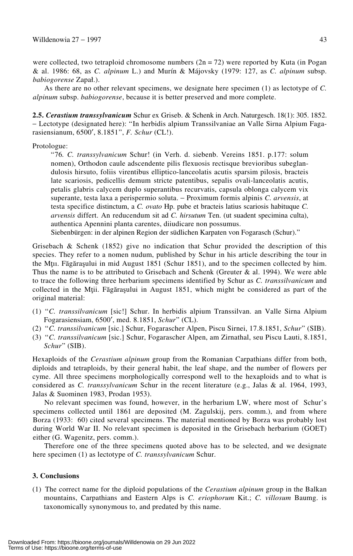were collected, two tetraploid chromosome numbers  $(2n = 72)$  were reported by Kuta (in Pogan & al. 1986: 68, as *C. alpinum* L.) and Murín & Májovsky (1979: 127, as *C. alpinum* subsp. *babiogorense* Zapał.).

As there are no other relevant specimens, we designate here specimen (1) as lectotype of *C. alpinum* subsp. *babiogorense*, because it is better preserved and more complete.

**2.5.** *Cerastium transsylvanicum* Schur ex Griseb. & Schenk in Arch. Naturgesch. 18(1): 305. 1852. − Lectotype (designated here): †In herbidis alpium Transsilvaniae an Valle Sirna Alpium Fagarasiensianum, 6500′, 8.1851‡, *F. Schur* (CL!).

# Protologue:

†76*. C. transsylvanicum* Schur! (in Verh. d. siebenb. Vereins 1851. p.177: solum nomen), Orthodon caule adscendente pilis flexuosis rectisque brevioribus subeglandulosis hirsuto, foliis virentibus elliptico-lanceolatis acutis sparsim pilosis, bracteis late scariosis, pedicellis demum stricte patentibus, sepalis ovali-lanceolatis acutis, petalis glabris calycem duplo superantibus recurvatis, capsula oblonga calycem vix superante, testa laxa a perispermio soluta. − Proximum formis alpinis *C. arvensis*, at testa specifice distinctum, a *C. ovato* Hp. pube et bracteis latius scariosis habituque *C. arvensis* differt. An reducendum sit ad *C. hirsutum* Ten. (ut suadent specimina culta), authentica Apennini planta carentes, diiudicare non possumus.

Siebenbürgen: in der alpinen Region der südlichen Karpaten von Fogarasch (Schur)."

Grisebach  $\&$  Schenk (1852) give no indication that Schur provided the description of this species. They refer to a nomen nudum, published by Schur in his article describing the tour in the Mtu. Făgărașului in mid August 1851 (Schur 1851), and to the specimen collected by him. Thus the name is to be attributed to Grisebach and Schenk (Greuter  $\&$  al. 1994). We were able to trace the following three herbarium specimens identified by Schur as *C. transsilvanicum* and collected in the Mții. Făgărașului in August 1851, which might be considered as part of the original material:

- (1) †*C. transsilvanicum* [sic!] Schur. In herbidis alpium Transsilvan. an Valle Sirna Alpium Fogarasiensiam, 6500', med. 8.1851, *Schur*" (CL).
- (2) <sup>\*</sup>C. transsilvanicum [sic.] Schur, Fogarascher Alpen, Piscu Sirnei, 17.8.1851, *Schur*<sup>\*</sup> (SIB).
- (3) †*C. transsilvanicum* [sic.] Schur, Fogarascher Alpen, am Zirnathal, seu Piscu Lauti, 8.1851, *Schur*‡ (SIB).

Hexaploids of the *Cerastium alpinum* group from the Romanian Carpathians differ from both, diploids and tetraploids, by their general habit, the leaf shape, and the number of flowers per cyme. All three specimens morphologically correspond well to the hexaploids and to what is considered as *C. transsylvanicum* Schur in the recent literature (e.g., Jalas & al. 1964, 1993, Jalas & Suominen 1983, Prodan 1953).

No relevant specimen was found, however, in the herbarium LW, where most of Schur's specimens collected until 1861 are deposited (M. Zagulskij, pers. comm.), and from where Borza (1933: 60) cited several specimens. The material mentioned by Borza was probably lost during World War II. No relevant specimen is deposited in the Grisebach herbarium (GOET) either (G. Wagenitz, pers. comm.).

Therefore one of the three specimens quoted above has to be selected, and we designate here specimen (1) as lectotype of *C. transsylvanicum* Schur.

# **3. Conclusions**

(1) The correct name for the diploid populations of the *Cerastium alpinum* group in the Balkan mountains, Carpathians and Eastern Alps is *C. eriophorum* Kit.; *C. villosum* Baumg. is taxonomically synonymous to, and predated by this name.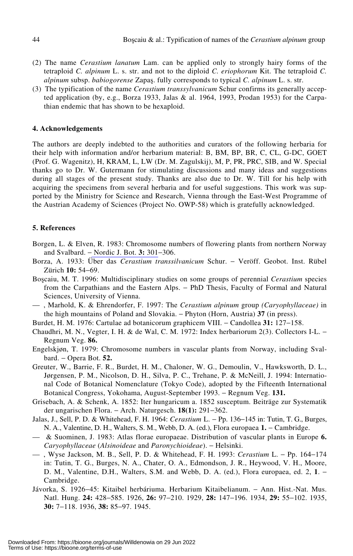- (2) The name *Cerastium lanatum* Lam. can be applied only to strongly hairy forms of the tetraploid *C. alpinum* L. s. str. and not to the diploid *C. eriophorum* Kit. The tetraploid *C. alpinum* subsp. *babiogorense* Zapas. fully corresponds to typical *C. alpinum* L. s. str.
- (3) The typification of the name *Cerastium transsylvanicum* Schur confirms its generally accepted application (by, e.g., Borza 1933, Jalas & al. 1964, 1993, Prodan 1953) for the Carpathian endemic that has shown to be hexaploid.

#### **4. Acknowledgements**

The authors are deeply indebted to the authorities and curators of the following herbaria for their help with information and/or herbarium material: B, BM, BP, BR, C, CL, G-DC, GOET (Prof. G. Wagenitz), H, KRAM, L, LW (Dr. M. Zagulskij), M, P, PR, PRC, SIB, and W. Special thanks go to Dr. W. Gutermann for stimulating discussions and many ideas and suggestions during all stages of the present study. Thanks are also due to Dr. W. Till for his help with acquiring the specimens from several herbaria and for useful suggestions. This work was supported by the Ministry for Science and Research, Vienna through the East-West Programme of the Austrian Academy of Sciences (Project No. OWP-58) which is gratefully acknowledged.

#### **5. References**

- Borgen, L. & Elven, R. 1983: Chromosome numbers of flowering plants from northern Norway and Svalbard. − Nordic J. Bot. **3:** 301−306.
- Borza, A. 1933: Über das *Cerastium transsilvanicum* Schur. − Veröff. Geobot. Inst. Rübel Zürich **10:** 54−69.
- Boscaiu, M. T. 1996: Multidisciplinary studies on some groups of perennial *Cerastium* species from the Carpathians and the Eastern Alps. − PhD Thesis, Faculty of Formal and Natural Sciences, University of Vienna.
- , Marhold, K. & Ehrendorfer, F. 1997: The *Cerastium alpinum* group *(Caryophyllaceae)* in the high mountains of Poland and Slovakia. − Phyton (Horn, Austria) **37** (in press).
- Burdet, H. M. 1976: Cartulae ad botanicorum graphicem VIII. − Candollea **31:** 127−158.
- Chaudhri, M. N., Vegter, I. H. & de Wal, C. M. 1972: Index herbariorum 2(3). Collectors I-L. − Regnum Veg. **86.**
- Engelskjøn, T. 1979: Chromosome numbers in vascular plants from Norway, including Svalbard. − Opera Bot. **52.**
- Greuter, W., Barrie, F. R., Burdet, H. M., Chaloner, W. G., Demoulin, V., Hawksworth, D. L., Jørgensen, P. M., Nicolson, D. H., Silva, P. C., Trehane, P. & McNeill, J. 1994: International Code of Botanical Nomenclature (Tokyo Code), adopted by the Fifteenth International Botanical Congress, Yokohama, August-September 1993. − Regnum Veg. **131.**
- Grisebach, A. & Schenk, A. 1852: Iter hungaricum a. 1852 susceptum. Beiträge zur Systematik der ungarischen Flora. − Arch. Naturgesch. **18(1):** 291−362.
- Jalas, J., Sell, P. D. & Whitehead, F. H. 1964: *Cerastium* L. − Pp. 136−145 in: Tutin, T. G., Burges, N. A., Valentine, D. H., Walters, S. M., Webb, D. A. (ed.), Flora europaea **1.** − Cambridge.
- & Suominen, J. 1983: Atlas florae europaeae. Distribution of vascular plants in Europe **6.** *Caryophyllaceae* (*Alsinoideae* and *Paronychioideae*). − Helsinki.
- , Wyse Jackson, M. B., Sell, P. D. & Whitehead, F. H. 1993: *Cerastium* L. − Pp. 164−174 in: Tutin, T. G., Burges, N. A., Chater, O. A., Edmondson, J. R., Heywood, V. H., Moore, D. M., Valentine, D.H., Walters, S.M. and Webb, D. A. (ed.), Flora europaea, ed. 2, 1. − Cambridge.
- Jávorka, S. 1926−45: Kitaibel herbáriuma. Herbarium Kitaibelianum. − Ann. Hist.-Nat. Mus. Natl. Hung. **24:** 428−585. 1926, **26:** 97−210. 1929, **28:** 147−196. 1934, **29:** 55−102. 1935, **30:** 7−118. 1936, **38:** 85−97. 1945.